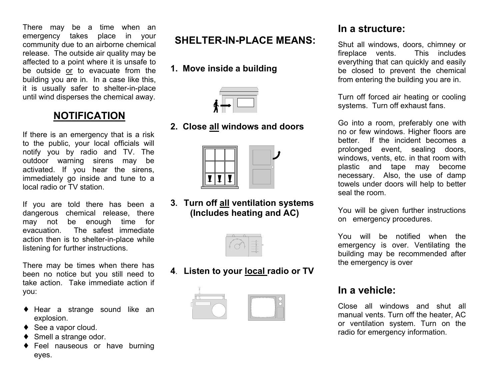There may be a time when an emergency takes place in your community due to an airborne chemical release. The outside air quality may be affected to a point where it is unsafe to be outside or to evacuate from the building you are in. In a case like this, it is usually safer to shelter-in-place until wind disperses the chemical away.

## **NOTIFICATION**

If there is an emergency that is a risk to the public, your local officials will notify you by radio and TV. The outdoor warning sirens may be activated. If you hear the sirens, immediately go inside and tune to a local radio or TV station.

If you are told there has been a dangerous chemical release, there may not be enough time for evacuation. The safest immediate action then is to shelter-in-place while listening for further instructions.

There may be times when there has been no notice but you still need to take action. Take immediate action if you:

- ♦ Hear a strange sound like an explosion.
- ◆ See a vapor cloud.
- ◆ Smell a strange odor.
- ♦ Feel nauseous or have burning eyes.

# **SHELTER-IN-PLACE MEANS:**

**1. Move inside a building**

#### **2. Close all windows and doors**



**3. Turn off all ventilation systems (Includes heating and AC)** 

**4**. **Listen to your local radio or TV**



## **In a structure:**

Shut all windows, doors, chimney or fireplace vents. This includes everything that can quickly and easily be closed to prevent the chemical from entering the building you are in.

Turn off forced air heating or cooling systems. Turn off exhaust fans.

Go into a room, preferably one with no or few windows. Higher floors are better. If the incident becomes a prolonged event, sealing doors, windows, vents, etc. in that room with plastic and tape may become necessary. Also, the use of damp towels under doors will help to better seal the room.

You will be given further instructions on emergency procedures.

You will be notified when the emergency is over. Ventilating the building may be recommended after the emergency is over

## **In a vehicle:**

Close all windows and shut all manual vents. Turn off the heater, AC or ventilation system. Turn on the radio for emergency information.